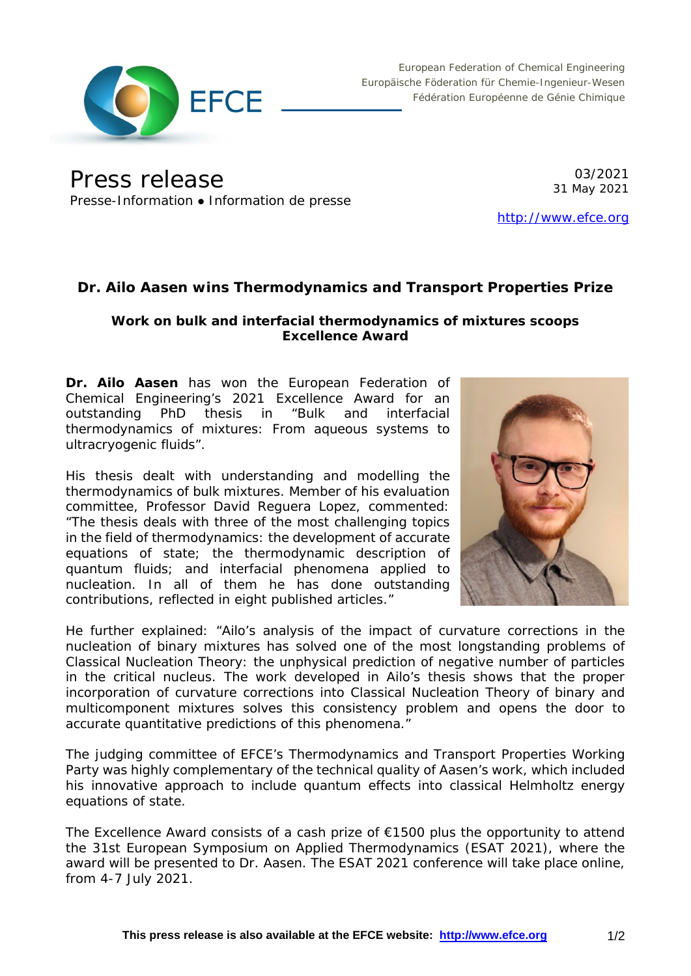

European Federation of Chemical Engineering Europäische Föderation für Chemie-Ingenieur-Wesen Fédération Européenne de Génie Chimique

Press release Presse-Information • Information de presse

03/2021 31 May 2021

[http://www.efce.org](http://www.efce.org/)

# **Dr. Ailo Aasen wins Thermodynamics and Transport Properties Prize**

## **Work on bulk and interfacial thermodynamics of mixtures scoops Excellence Award**

**Dr. Ailo Aasen** has won the European Federation of Chemical Engineering's 2021 Excellence Award for an outstanding PhD thesis in "*Bulk and interfacial thermodynamics of mixtures: From aqueous systems to ultracryogenic fluids*".

His thesis dealt with understanding and modelling the thermodynamics of bulk mixtures. Member of his evaluation committee, Professor David Reguera Lopez, commented: "The thesis deals with three of the most challenging topics in the field of thermodynamics: the development of accurate equations of state; the thermodynamic description of quantum fluids; and interfacial phenomena applied to nucleation. In all of them he has done outstanding contributions, reflected in eight published articles."



He further explained: "Ailo's analysis of the impact of curvature corrections in the nucleation of binary mixtures has solved one of the most longstanding problems of Classical Nucleation Theory: the unphysical prediction of negative number of particles in the critical nucleus. The work developed in Ailo's thesis shows that the proper incorporation of curvature corrections into Classical Nucleation Theory of binary and multicomponent mixtures solves this consistency problem and opens the door to accurate quantitative predictions of this phenomena."

The judging committee of EFCE's Thermodynamics and Transport Properties Working Party was highly complementary of the technical quality of Aasen's work, which included his innovative approach to include quantum effects into classical Helmholtz energy equations of state.

The Excellence Award consists of a cash prize of  $\epsilon$ 1500 plus the opportunity to attend the 31st European Symposium on Applied Thermodynamics (ESAT 2021), where the award will be presented to Dr. Aasen. The ESAT 2021 conference will take place online, from 4-7 July 2021.